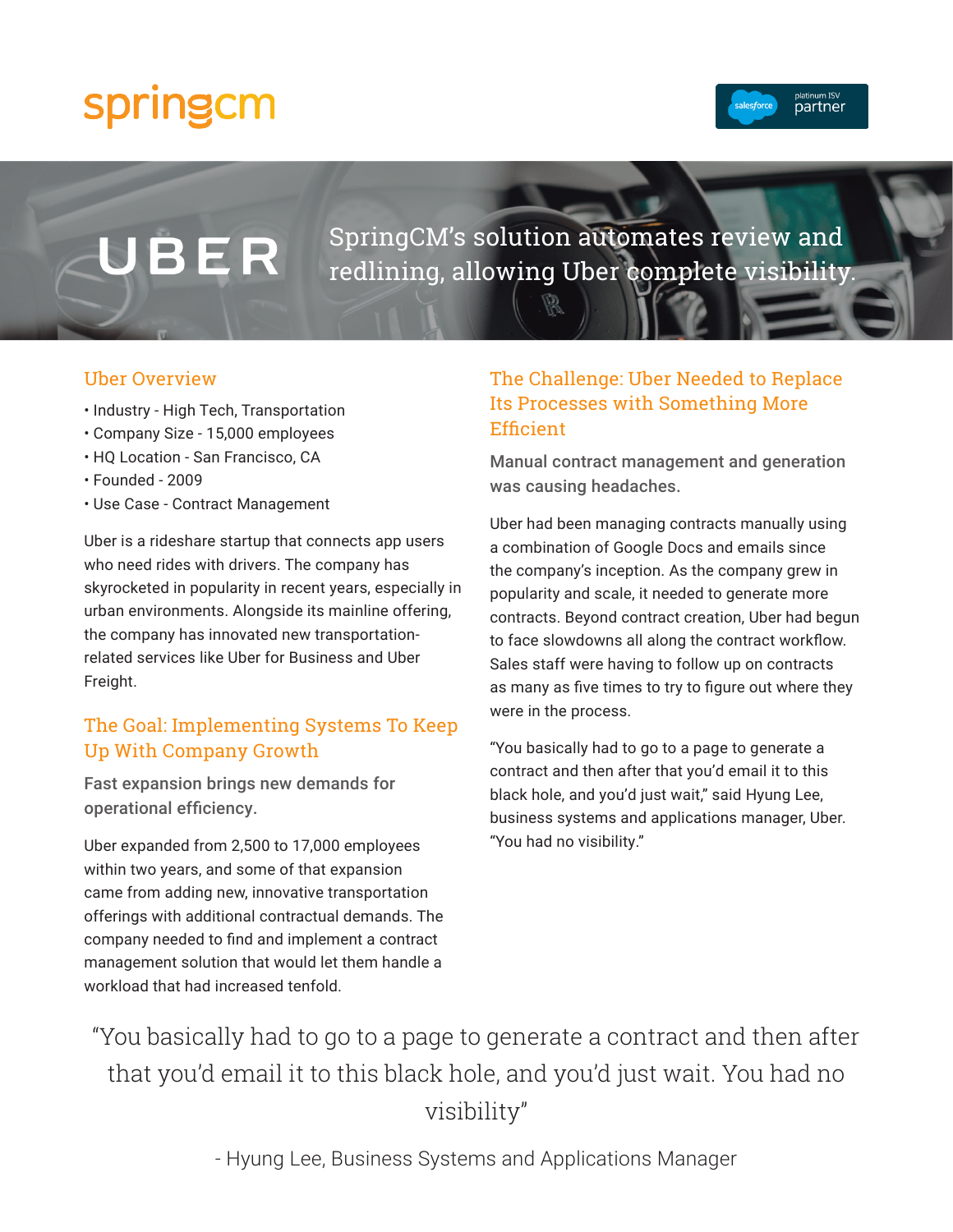# springcm



# BER

SpringCM's solution automates review and redlining, allowing Uber complete visibility.

#### Uber Overview

- Industry High Tech, Transportation
- Company Size 15,000 employees
- HQ Location San Francisco, CA
- Founded 2009
- Use Case Contract Management

Uber is a rideshare startup that connects app users who need rides with drivers. The company has skyrocketed in popularity in recent years, especially in urban environments. Alongside its mainline offering, the company has innovated new transportationrelated services like Uber for Business and Uber Freight.

# The Goal: Implementing Systems To Keep Up With Company Growth

Fast expansion brings new demands for operational efficiency.

Uber expanded from 2,500 to 17,000 employees within two years, and some of that expansion came from adding new, innovative transportation offerings with additional contractual demands. The company needed to find and implement a contract management solution that would let them handle a workload that had increased tenfold.

# The Challenge: Uber Needed to Replace Its Processes with Something More **Efficient**

Manual contract management and generation was causing headaches.

Uber had been managing contracts manually using a combination of Google Docs and emails since the company's inception. As the company grew in popularity and scale, it needed to generate more contracts. Beyond contract creation, Uber had begun to face slowdowns all along the contract workflow. Sales staff were having to follow up on contracts as many as five times to try to figure out where they were in the process.

"You basically had to go to a page to generate a contract and then after that you'd email it to this black hole, and you'd just wait," said Hyung Lee, business systems and applications manager, Uber. "You had no visibility."

"You basically had to go to a page to generate a contract and then after that you'd email it to this black hole, and you'd just wait. You had no visibility"

- Hyung Lee, Business Systems and Applications Manager